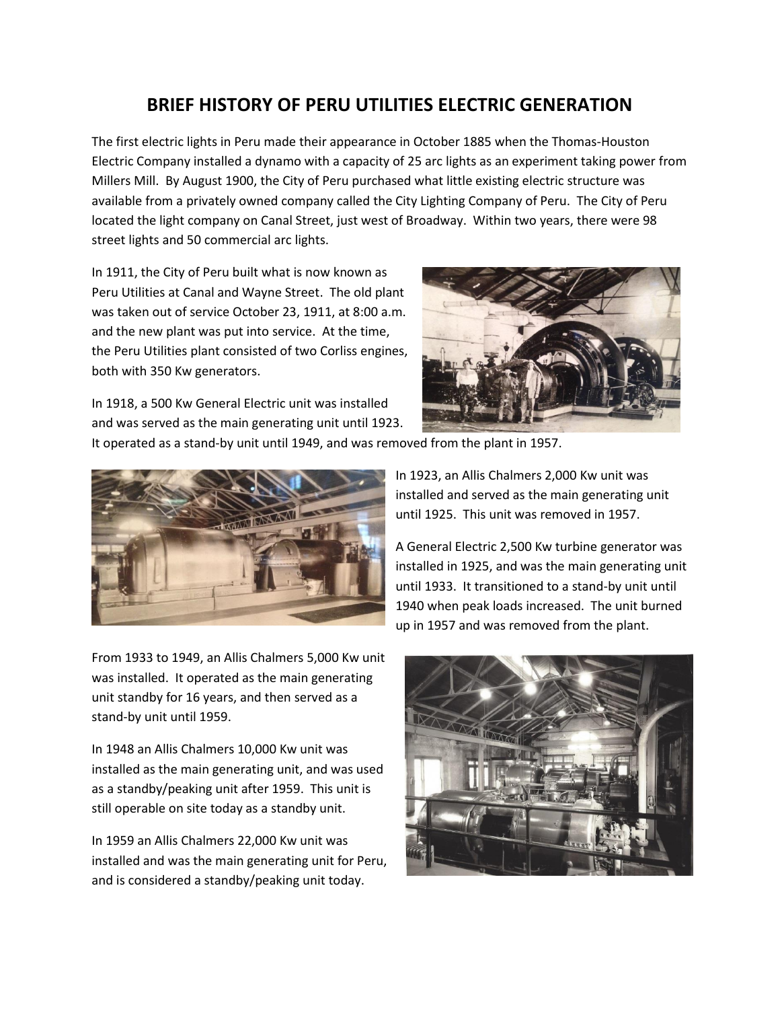## **BRIEF HISTORY OF PERU UTILITIES ELECTRIC GENERATION**

The first electric lights in Peru made their appearance in October 1885 when the Thomas-Houston Electric Company installed a dynamo with a capacity of 25 arc lights as an experiment taking power from Millers Mill. By August 1900, the City of Peru purchased what little existing electric structure was available from a privately owned company called the City Lighting Company of Peru. The City of Peru located the light company on Canal Street, just west of Broadway. Within two years, there were 98 street lights and 50 commercial arc lights.

In 1911, the City of Peru built what is now known as Peru Utilities at Canal and Wayne Street. The old plant was taken out of service October 23, 1911, at 8:00 a.m. and the new plant was put into service. At the time, the Peru Utilities plant consisted of two Corliss engines, both with 350 Kw generators.



In 1918, a 500 Kw General Electric unit was installed and was served as the main generating unit until 1923.

It operated as a stand-by unit until 1949, and was removed from the plant in 1957.



From 1933 to 1949, an Allis Chalmers 5,000 Kw unit was installed. It operated as the main generating unit standby for 16 years, and then served as a stand-by unit until 1959.

In 1948 an Allis Chalmers 10,000 Kw unit was installed as the main generating unit, and was used as a standby/peaking unit after 1959. This unit is still operable on site today as a standby unit.

In 1959 an Allis Chalmers 22,000 Kw unit was installed and was the main generating unit for Peru, and is considered a standby/peaking unit today.

In 1923, an Allis Chalmers 2,000 Kw unit was installed and served as the main generating unit until 1925. This unit was removed in 1957.

A General Electric 2,500 Kw turbine generator was installed in 1925, and was the main generating unit until 1933. It transitioned to a stand-by unit until 1940 when peak loads increased. The unit burned up in 1957 and was removed from the plant.

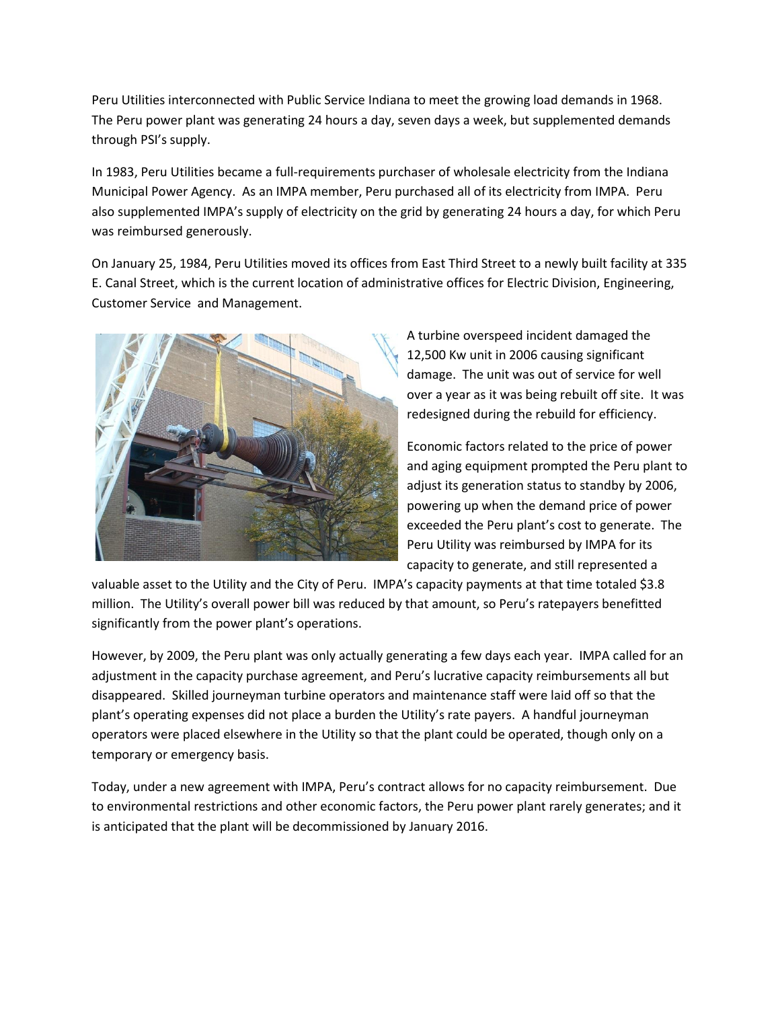Peru Utilities interconnected with Public Service Indiana to meet the growing load demands in 1968. The Peru power plant was generating 24 hours a day, seven days a week, but supplemented demands through PSI's supply.

In 1983, Peru Utilities became a full-requirements purchaser of wholesale electricity from the Indiana Municipal Power Agency. As an IMPA member, Peru purchased all of its electricity from IMPA. Peru also supplemented IMPA's supply of electricity on the grid by generating 24 hours a day, for which Peru was reimbursed generously.

On January 25, 1984, Peru Utilities moved its offices from East Third Street to a newly built facility at 335 E. Canal Street, which is the current location of administrative offices for Electric Division, Engineering, Customer Service and Management.



A turbine overspeed incident damaged the 12,500 Kw unit in 2006 causing significant damage. The unit was out of service for well over a year as it was being rebuilt off site. It was redesigned during the rebuild for efficiency.

Economic factors related to the price of power and aging equipment prompted the Peru plant to adjust its generation status to standby by 2006, powering up when the demand price of power exceeded the Peru plant's cost to generate. The Peru Utility was reimbursed by IMPA for its capacity to generate, and still represented a

valuable asset to the Utility and the City of Peru. IMPA's capacity payments at that time totaled \$3.8 million. The Utility's overall power bill was reduced by that amount, so Peru's ratepayers benefitted significantly from the power plant's operations.

However, by 2009, the Peru plant was only actually generating a few days each year. IMPA called for an adjustment in the capacity purchase agreement, and Peru's lucrative capacity reimbursements all but disappeared. Skilled journeyman turbine operators and maintenance staff were laid off so that the plant's operating expenses did not place a burden the Utility's rate payers. A handful journeyman operators were placed elsewhere in the Utility so that the plant could be operated, though only on a temporary or emergency basis.

Today, under a new agreement with IMPA, Peru's contract allows for no capacity reimbursement. Due to environmental restrictions and other economic factors, the Peru power plant rarely generates; and it is anticipated that the plant will be decommissioned by January 2016.